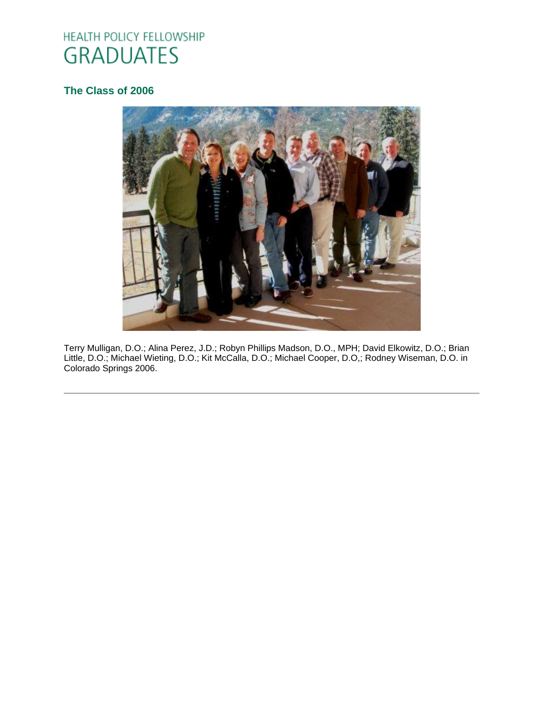# HEALTH POLICY FELLOWSHIP **GRADUATES**

# **[The Class of 2006](http://www.oucom.ohiou.edu/hpf/Graduates2010.htm)**



Terry Mulligan, D.O.; Alina Perez, J.D.; Robyn Phillips Madson, D.O., MPH; David Elkowitz, D.O.; Brian Little, D.O.; Michael Wieting, D.O.; Kit McCalla, D.O.; Michael Cooper, D.O,; Rodney Wiseman, D.O. in Colorado Springs 2006.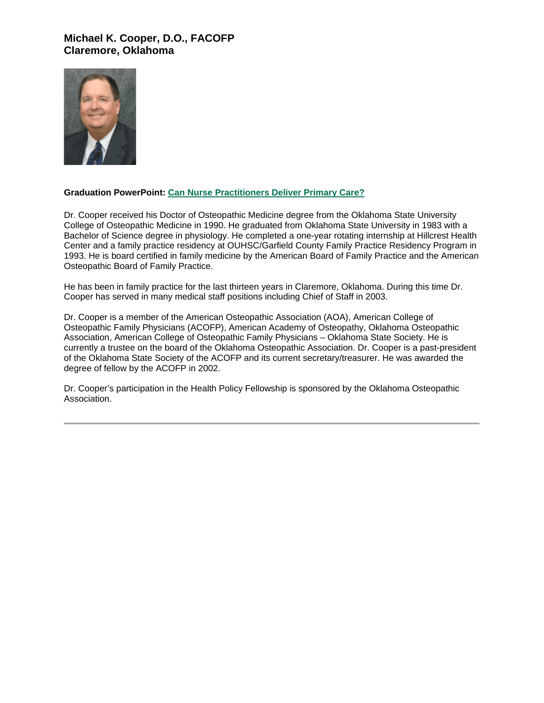## **Michael K. Cooper, D.O., FACOFP Claremore, Oklahoma**



#### **Graduation PowerPoint: [Can Nurse Practitioners Deliver Primary Care?](https://ohio.box.com/s/x5up34e0tgnxnj0n84wef7uan3auvu0c)**

Dr. Cooper received his Doctor of Osteopathic Medicine degree from the Oklahoma State University College of Osteopathic Medicine in 1990. He graduated from Oklahoma State University in 1983 with a Bachelor of Science degree in physiology. He completed a one-year rotating internship at Hillcrest Health Center and a family practice residency at OUHSC/Garfield County Family Practice Residency Program in 1993. He is board certified in family medicine by the American Board of Family Practice and the American Osteopathic Board of Family Practice.

He has been in family practice for the last thirteen years in Claremore, Oklahoma. During this time Dr. Cooper has served in many medical staff positions including Chief of Staff in 2003.

Dr. Cooper is a member of the American Osteopathic Association (AOA), American College of Osteopathic Family Physicians (ACOFP), American Academy of Osteopathy, Oklahoma Osteopathic Association, American College of Osteopathic Family Physicians – Oklahoma State Society. He is currently a trustee on the board of the Oklahoma Osteopathic Association. Dr. Cooper is a past-president of the Oklahoma State Society of the ACOFP and its current secretary/treasurer. He was awarded the degree of fellow by the ACOFP in 2002.

Dr. Cooper's participation in the Health Policy Fellowship is sponsored by the Oklahoma Osteopathic Association.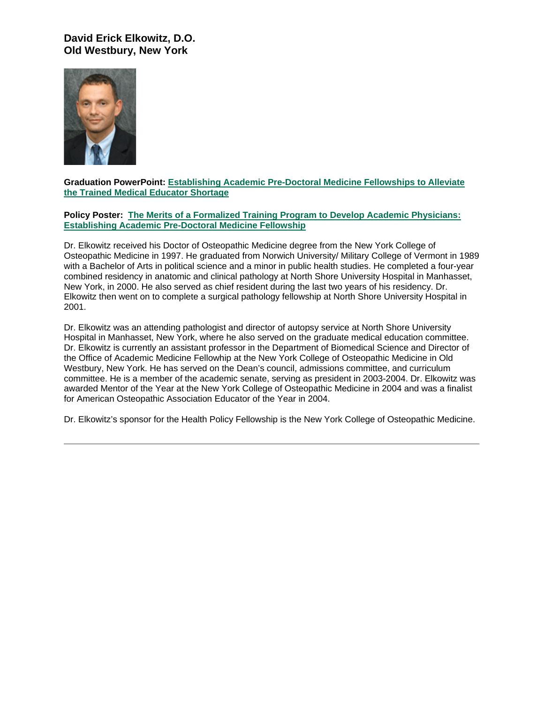## **David Erick Elkowitz, D.O. Old Westbury, New York**



#### **Graduation PowerPoint: [Establishing Academic Pre-Doctoral Medicine Fellowships to Alleviate](https://ohio.box.com/s/5yknjesa3c8i6k7sj75bst14cov524mp)  [the Trained Medical Educator Shortage](https://ohio.box.com/s/5yknjesa3c8i6k7sj75bst14cov524mp)**

#### **Policy Poster: [The Merits of a Formalized Training Program to Develop Academic Physicians:](https://ohio.box.com/s/mrlv9p54fvrybp4m3m3dijjowslypmeu)  [Establishing Academic Pre-Doctoral Medicine Fellowship](https://ohio.box.com/s/mrlv9p54fvrybp4m3m3dijjowslypmeu)**

Dr. Elkowitz received his Doctor of Osteopathic Medicine degree from the New York College of Osteopathic Medicine in 1997. He graduated from Norwich University/ Military College of Vermont in 1989 with a Bachelor of Arts in political science and a minor in public health studies. He completed a four-year combined residency in anatomic and clinical pathology at North Shore University Hospital in Manhasset, New York, in 2000. He also served as chief resident during the last two years of his residency. Dr. Elkowitz then went on to complete a surgical pathology fellowship at North Shore University Hospital in 2001.

Dr. Elkowitz was an attending pathologist and director of autopsy service at North Shore University Hospital in Manhasset, New York, where he also served on the graduate medical education committee. Dr. Elkowitz is currently an assistant professor in the Department of Biomedical Science and Director of the Office of Academic Medicine Fellowhip at the New York College of Osteopathic Medicine in Old Westbury, New York. He has served on the Dean's council, admissions committee, and curriculum committee. He is a member of the academic senate, serving as president in 2003-2004. Dr. Elkowitz was awarded Mentor of the Year at the New York College of Osteopathic Medicine in 2004 and was a finalist for American Osteopathic Association Educator of the Year in 2004.

Dr. Elkowitz's sponsor for the Health Policy Fellowship is the New York College of Osteopathic Medicine.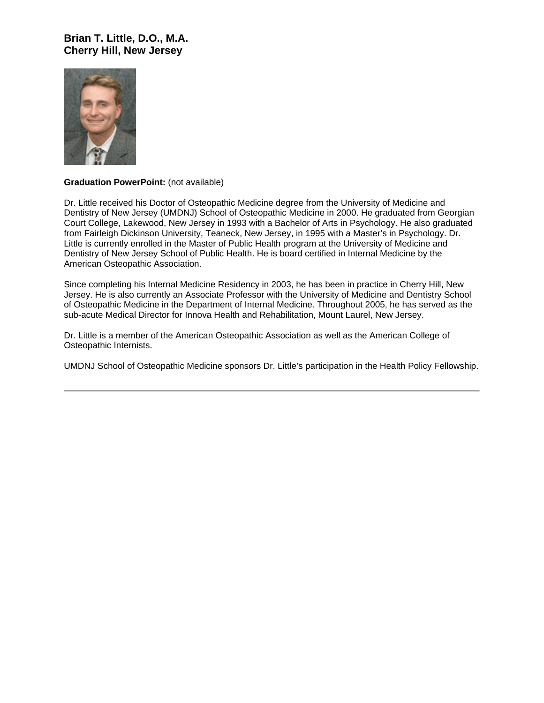## **Brian T. Little, D.O., M.A. Cherry Hill, New Jersey**



#### **Graduation PowerPoint:** (not available)

Dr. Little received his Doctor of Osteopathic Medicine degree from the University of Medicine and Dentistry of New Jersey (UMDNJ) School of Osteopathic Medicine in 2000. He graduated from Georgian Court College, Lakewood, New Jersey in 1993 with a Bachelor of Arts in Psychology. He also graduated from Fairleigh Dickinson University, Teaneck, New Jersey, in 1995 with a Master's in Psychology. Dr. Little is currently enrolled in the Master of Public Health program at the University of Medicine and Dentistry of New Jersey School of Public Health. He is board certified in Internal Medicine by the American Osteopathic Association.

Since completing his Internal Medicine Residency in 2003, he has been in practice in Cherry Hill, New Jersey. He is also currently an Associate Professor with the University of Medicine and Dentistry School of Osteopathic Medicine in the Department of Internal Medicine. Throughout 2005, he has served as the sub-acute Medical Director for Innova Health and Rehabilitation, Mount Laurel, New Jersey.

Dr. Little is a member of the American Osteopathic Association as well as the American College of Osteopathic Internists.

UMDNJ School of Osteopathic Medicine sponsors Dr. Little's participation in the Health Policy Fellowship.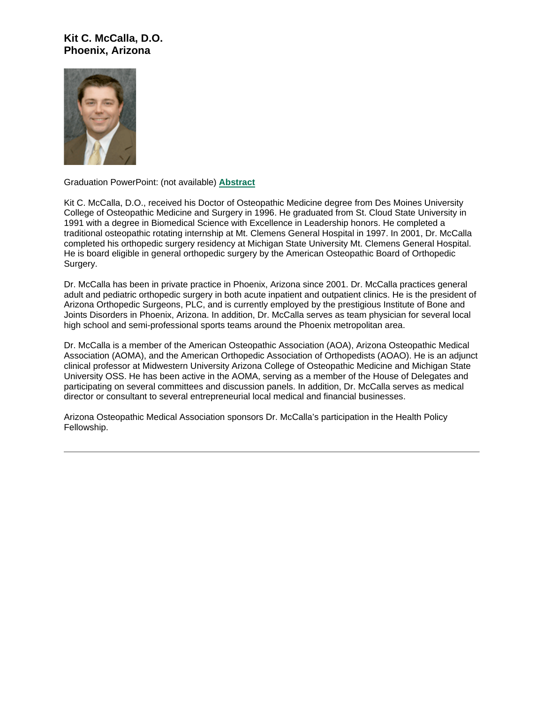## **Kit C. McCalla, D.O. Phoenix, Arizona**



Graduation PowerPoint: (not available) **[Abstract](https://ohio.box.com/s/8fgmkrrza971onwkmynvos50081znp3t)**

Kit C. McCalla, D.O., received his Doctor of Osteopathic Medicine degree from Des Moines University College of Osteopathic Medicine and Surgery in 1996. He graduated from St. Cloud State University in 1991 with a degree in Biomedical Science with Excellence in Leadership honors. He completed a traditional osteopathic rotating internship at Mt. Clemens General Hospital in 1997. In 2001, Dr. McCalla completed his orthopedic surgery residency at Michigan State University Mt. Clemens General Hospital. He is board eligible in general orthopedic surgery by the American Osteopathic Board of Orthopedic Surgery.

Dr. McCalla has been in private practice in Phoenix, Arizona since 2001. Dr. McCalla practices general adult and pediatric orthopedic surgery in both acute inpatient and outpatient clinics. He is the president of Arizona Orthopedic Surgeons, PLC, and is currently employed by the prestigious Institute of Bone and Joints Disorders in Phoenix, Arizona. In addition, Dr. McCalla serves as team physician for several local high school and semi-professional sports teams around the Phoenix metropolitan area.

Dr. McCalla is a member of the American Osteopathic Association (AOA), Arizona Osteopathic Medical Association (AOMA), and the American Orthopedic Association of Orthopedists (AOAO). He is an adjunct clinical professor at Midwestern University Arizona College of Osteopathic Medicine and Michigan State University OSS. He has been active in the AOMA, serving as a member of the House of Delegates and participating on several committees and discussion panels. In addition, Dr. McCalla serves as medical director or consultant to several entrepreneurial local medical and financial businesses.

Arizona Osteopathic Medical Association sponsors Dr. McCalla's participation in the Health Policy Fellowship.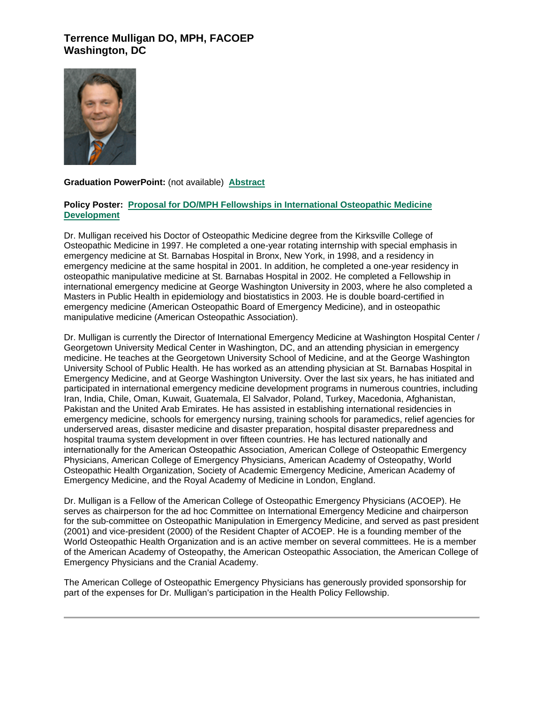# **Terrence Mulligan DO, MPH, FACOEP Washington, DC**



#### **Graduation PowerPoint:** (not available) **[Abstract](https://ohio.box.com/s/taigowq83uc7rj37qd7w0mb2223jpk43)**

#### **Policy Poster: [Proposal for DO/MPH Fellowships in International Osteopathic Medicine](https://ohio.box.com/s/3l7t3e2rxbvo0xxlu27hwi42mveubjhl)  [Development](https://ohio.box.com/s/3l7t3e2rxbvo0xxlu27hwi42mveubjhl)**

Dr. Mulligan received his Doctor of Osteopathic Medicine degree from the Kirksville College of Osteopathic Medicine in 1997. He completed a one-year rotating internship with special emphasis in emergency medicine at St. Barnabas Hospital in Bronx, New York, in 1998, and a residency in emergency medicine at the same hospital in 2001. In addition, he completed a one-year residency in osteopathic manipulative medicine at St. Barnabas Hospital in 2002. He completed a Fellowship in international emergency medicine at George Washington University in 2003, where he also completed a Masters in Public Health in epidemiology and biostatistics in 2003. He is double board-certified in emergency medicine (American Osteopathic Board of Emergency Medicine), and in osteopathic manipulative medicine (American Osteopathic Association).

Dr. Mulligan is currently the Director of International Emergency Medicine at Washington Hospital Center / Georgetown University Medical Center in Washington, DC, and an attending physician in emergency medicine. He teaches at the Georgetown University School of Medicine, and at the George Washington University School of Public Health. He has worked as an attending physician at St. Barnabas Hospital in Emergency Medicine, and at George Washington University. Over the last six years, he has initiated and participated in international emergency medicine development programs in numerous countries, including Iran, India, Chile, Oman, Kuwait, Guatemala, El Salvador, Poland, Turkey, Macedonia, Afghanistan, Pakistan and the United Arab Emirates. He has assisted in establishing international residencies in emergency medicine, schools for emergency nursing, training schools for paramedics, relief agencies for underserved areas, disaster medicine and disaster preparation, hospital disaster preparedness and hospital trauma system development in over fifteen countries. He has lectured nationally and internationally for the American Osteopathic Association, American College of Osteopathic Emergency Physicians, American College of Emergency Physicians, American Academy of Osteopathy, World Osteopathic Health Organization, Society of Academic Emergency Medicine, American Academy of Emergency Medicine, and the Royal Academy of Medicine in London, England.

Dr. Mulligan is a Fellow of the American College of Osteopathic Emergency Physicians (ACOEP). He serves as chairperson for the ad hoc Committee on International Emergency Medicine and chairperson for the sub-committee on Osteopathic Manipulation in Emergency Medicine, and served as past president (2001) and vice-president (2000) of the Resident Chapter of ACOEP. He is a founding member of the World Osteopathic Health Organization and is an active member on several committees. He is a member of the American Academy of Osteopathy, the American Osteopathic Association, the American College of Emergency Physicians and the Cranial Academy.

The American College of Osteopathic Emergency Physicians has generously provided sponsorship for part of the expenses for Dr. Mulligan's participation in the Health Policy Fellowship.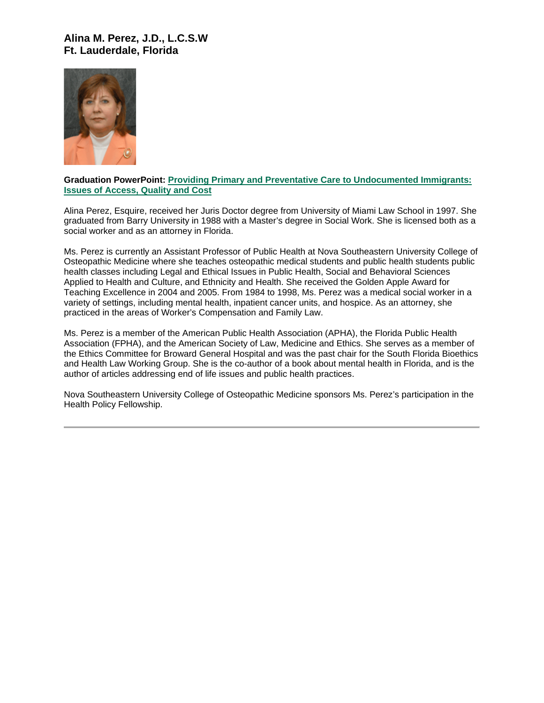# **Alina M. Perez, J.D., L.C.S.W Ft. Lauderdale, Florida**



#### **Graduation PowerPoint: [Providing Primary and Preventative Care to Undocumented Immigrants:](https://ohio.box.com/s/ttgbalseiingfiig55n2xknt4j4tyta2)  [Issues of Access, Quality and Cost](https://ohio.box.com/s/ttgbalseiingfiig55n2xknt4j4tyta2)**

Alina Perez, Esquire, received her Juris Doctor degree from University of Miami Law School in 1997. She graduated from Barry University in 1988 with a Master's degree in Social Work. She is licensed both as a social worker and as an attorney in Florida.

Ms. Perez is currently an Assistant Professor of Public Health at Nova Southeastern University College of Osteopathic Medicine where she teaches osteopathic medical students and public health students public health classes including Legal and Ethical Issues in Public Health, Social and Behavioral Sciences Applied to Health and Culture, and Ethnicity and Health. She received the Golden Apple Award for Teaching Excellence in 2004 and 2005. From 1984 to 1998, Ms. Perez was a medical social worker in a variety of settings, including mental health, inpatient cancer units, and hospice. As an attorney, she practiced in the areas of Worker's Compensation and Family Law.

Ms. Perez is a member of the American Public Health Association (APHA), the Florida Public Health Association (FPHA), and the American Society of Law, Medicine and Ethics. She serves as a member of the Ethics Committee for Broward General Hospital and was the past chair for the South Florida Bioethics and Health Law Working Group. She is the co-author of a book about mental health in Florida, and is the author of articles addressing end of life issues and public health practices.

Nova Southeastern University College of Osteopathic Medicine sponsors Ms. Perez's participation in the Health Policy Fellowship.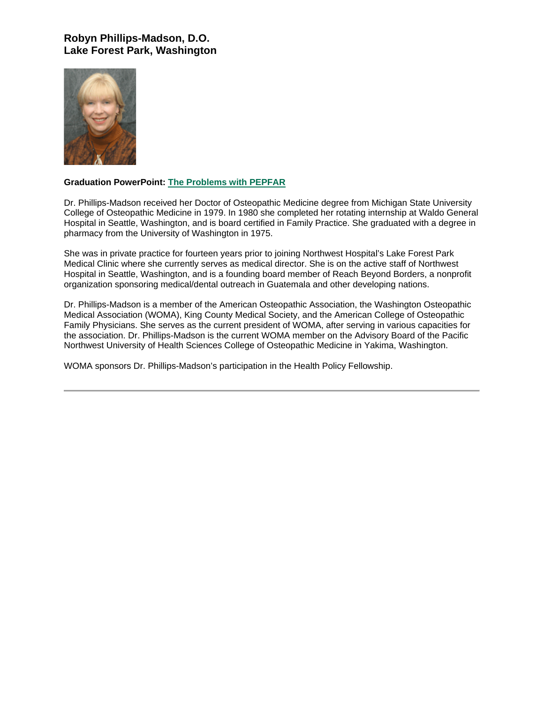# **Robyn Phillips-Madson, D.O. Lake Forest Park, Washington**



#### **Graduation PowerPoint: [The Problems with PEPFAR](https://ohio.box.com/s/v634h4bo6wkh8sko5e3h376ss0s8wb5c)**

Dr. Phillips-Madson received her Doctor of Osteopathic Medicine degree from Michigan State University College of Osteopathic Medicine in 1979. In 1980 she completed her rotating internship at Waldo General Hospital in Seattle, Washington, and is board certified in Family Practice. She graduated with a degree in pharmacy from the University of Washington in 1975.

She was in private practice for fourteen years prior to joining Northwest Hospital's Lake Forest Park Medical Clinic where she currently serves as medical director. She is on the active staff of Northwest Hospital in Seattle, Washington, and is a founding board member of Reach Beyond Borders, a nonprofit organization sponsoring medical/dental outreach in Guatemala and other developing nations.

Dr. Phillips-Madson is a member of the American Osteopathic Association, the Washington Osteopathic Medical Association (WOMA), King County Medical Society, and the American College of Osteopathic Family Physicians. She serves as the current president of WOMA, after serving in various capacities for the association. Dr. Phillips-Madson is the current WOMA member on the Advisory Board of the Pacific Northwest University of Health Sciences College of Osteopathic Medicine in Yakima, Washington.

WOMA sponsors Dr. Phillips-Madson's participation in the Health Policy Fellowship.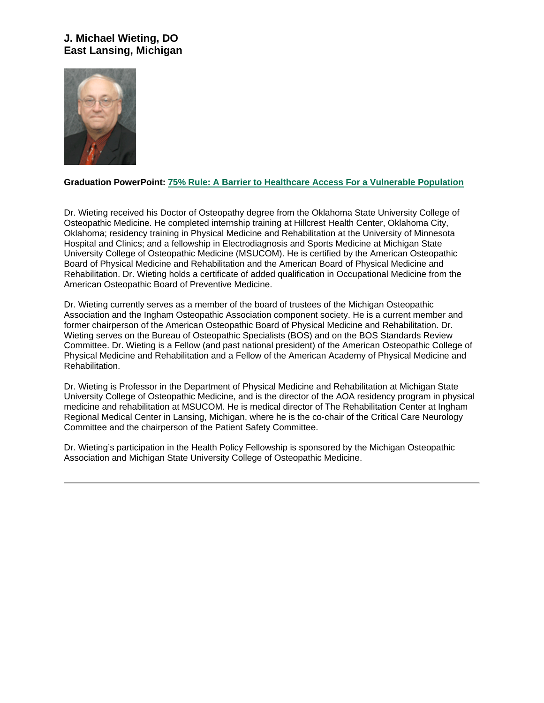# **J. Michael Wieting, DO East Lansing, Michigan**



### **Graduation PowerPoint: [75% Rule: A Barrier to Healthcare Access For a Vulnerable Population](https://ohio.box.com/s/oug8j4eb245ngj3qm76h5y6r5sbdp99d)**

Dr. Wieting received his Doctor of Osteopathy degree from the Oklahoma State University College of Osteopathic Medicine. He completed internship training at Hillcrest Health Center, Oklahoma City, Oklahoma; residency training in Physical Medicine and Rehabilitation at the University of Minnesota Hospital and Clinics; and a fellowship in Electrodiagnosis and Sports Medicine at Michigan State University College of Osteopathic Medicine (MSUCOM). He is certified by the American Osteopathic Board of Physical Medicine and Rehabilitation and the American Board of Physical Medicine and Rehabilitation. Dr. Wieting holds a certificate of added qualification in Occupational Medicine from the American Osteopathic Board of Preventive Medicine.

Dr. Wieting currently serves as a member of the board of trustees of the Michigan Osteopathic Association and the Ingham Osteopathic Association component society. He is a current member and former chairperson of the American Osteopathic Board of Physical Medicine and Rehabilitation. Dr. Wieting serves on the Bureau of Osteopathic Specialists (BOS) and on the BOS Standards Review Committee. Dr. Wieting is a Fellow (and past national president) of the American Osteopathic College of Physical Medicine and Rehabilitation and a Fellow of the American Academy of Physical Medicine and Rehabilitation.

Dr. Wieting is Professor in the Department of Physical Medicine and Rehabilitation at Michigan State University College of Osteopathic Medicine, and is the director of the AOA residency program in physical medicine and rehabilitation at MSUCOM. He is medical director of The Rehabilitation Center at Ingham Regional Medical Center in Lansing, Michigan, where he is the co-chair of the Critical Care Neurology Committee and the chairperson of the Patient Safety Committee.

Dr. Wieting's participation in the Health Policy Fellowship is sponsored by the Michigan Osteopathic Association and Michigan State University College of Osteopathic Medicine.